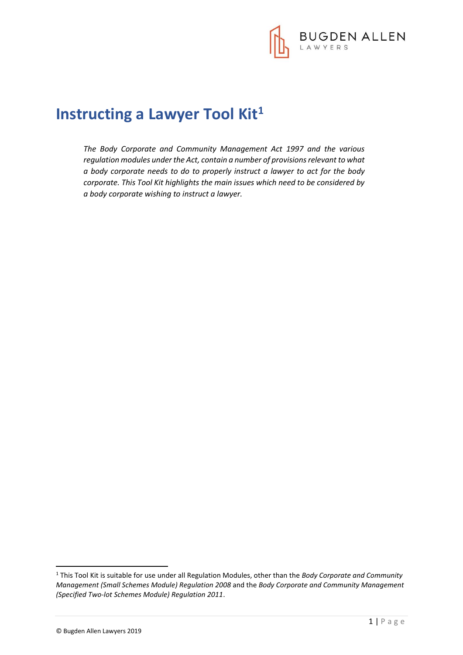

# **Instructing a Lawyer Tool Kit<sup>1</sup>**

*The Body Corporate and Community Management Act 1997 and the various regulation modules under the Act, contain a number of provisions relevant to what a body corporate needs to do to properly instruct a lawyer to act for the body corporate. This Tool Kit highlights the main issues which need to be considered by a body corporate wishing to instruct a lawyer.* 

**.** 

<sup>1</sup> This Tool Kit is suitable for use under all Regulation Modules, other than the *Body Corporate and Community Management (Small Schemes Module) Regulation 2008* and the *Body Corporate and Community Management (Specified Two-lot Schemes Module) Regulation 2011*.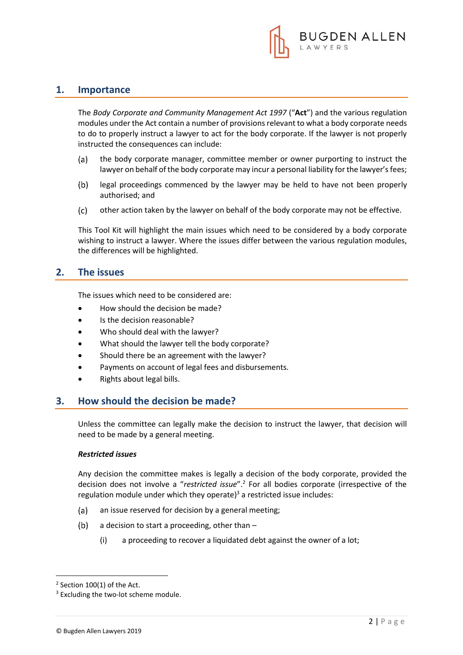

### **1. Importance**

The *Body Corporate and Community Management Act 1997* ("**Act**") and the various regulation modules under the Act contain a number of provisions relevant to what a body corporate needs to do to properly instruct a lawyer to act for the body corporate. If the lawyer is not properly instructed the consequences can include:

- $(a)$ the body corporate manager, committee member or owner purporting to instruct the lawyer on behalf of the body corporate may incur a personal liability for the lawyer's fees;
- legal proceedings commenced by the lawyer may be held to have not been properly  $(b)$ authorised; and
- $(c)$ other action taken by the lawyer on behalf of the body corporate may not be effective.

This Tool Kit will highlight the main issues which need to be considered by a body corporate wishing to instruct a lawyer. Where the issues differ between the various regulation modules, the differences will be highlighted.

### **2. The issues**

The issues which need to be considered are:

- How should the decision be made?
- Is the decision reasonable?
- Who should deal with the lawyer?
- What should the lawyer tell the body corporate?
- Should there be an agreement with the lawyer?
- Payments on account of legal fees and disbursements.
- Rights about legal bills.

### **3. How should the decision be made?**

Unless the committee can legally make the decision to instruct the lawyer, that decision will need to be made by a general meeting.

#### *Restricted issues*

Any decision the committee makes is legally a decision of the body corporate, provided the decision does not involve a "*restricted issue*".<sup>2</sup> For all bodies corporate (irrespective of the regulation module under which they operate) $3$  a restricted issue includes:

- $(a)$ an issue reserved for decision by a general meeting;
- $(b)$ a decision to start a proceeding, other than –
	- (i) a proceeding to recover a liquidated debt against the owner of a lot;

1

 $2$  Section 100(1) of the Act.

<sup>&</sup>lt;sup>3</sup> Excluding the two-lot scheme module.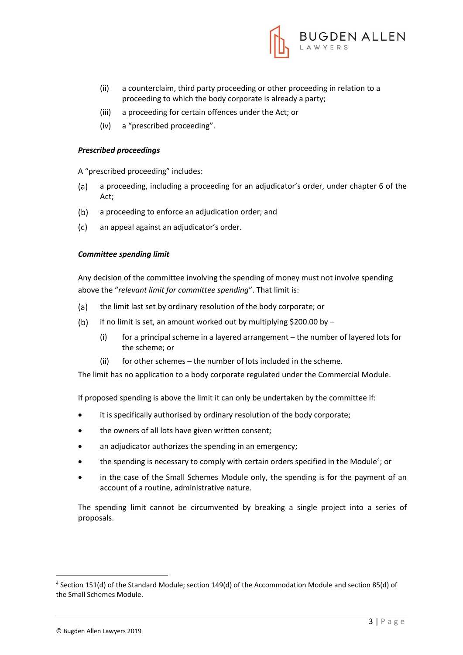

- (ii) a counterclaim, third party proceeding or other proceeding in relation to a proceeding to which the body corporate is already a party;
- (iii) a proceeding for certain offences under the Act; or
- (iv) a "prescribed proceeding".

#### *Prescribed proceedings*

A "prescribed proceeding" includes:

- a proceeding, including a proceeding for an adjudicator's order, under chapter 6 of the (a) Act;
- $(b)$ a proceeding to enforce an adjudication order; and
- $(c)$ an appeal against an adjudicator's order.

#### *Committee spending limit*

Any decision of the committee involving the spending of money must not involve spending above the "*relevant limit for committee spending*". That limit is:

- the limit last set by ordinary resolution of the body corporate; or  $(a)$
- $(b)$ if no limit is set, an amount worked out by multiplying  $$200.00$  by -
	- (i) for a principal scheme in a layered arrangement the number of layered lots for the scheme; or
	- (ii) for other schemes the number of lots included in the scheme.

The limit has no application to a body corporate regulated under the Commercial Module.

If proposed spending is above the limit it can only be undertaken by the committee if:

- it is specifically authorised by ordinary resolution of the body corporate;
- the owners of all lots have given written consent;
- an adjudicator authorizes the spending in an emergency;
- $\bullet$  the spending is necessary to comply with certain orders specified in the Module<sup>4</sup>; or
- in the case of the Small Schemes Module only, the spending is for the payment of an account of a routine, administrative nature.

The spending limit cannot be circumvented by breaking a single project into a series of proposals.

1

<sup>4</sup> Section 151(d) of the Standard Module; section 149(d) of the Accommodation Module and section 85(d) of the Small Schemes Module.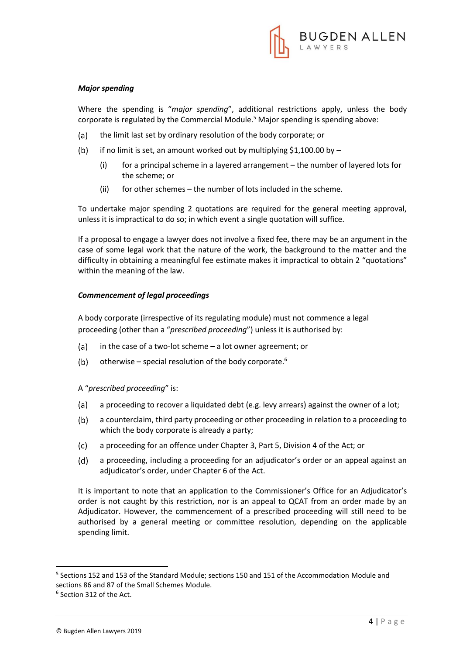

#### *Major spending*

Where the spending is "*major spending*", additional restrictions apply, unless the body corporate is regulated by the Commercial Module.<sup>5</sup> Major spending is spending above:

- the limit last set by ordinary resolution of the body corporate; or  $(a)$
- $(b)$ if no limit is set, an amount worked out by multiplying \$1,100.00 by  $-$ 
	- (i) for a principal scheme in a layered arrangement the number of layered lots for the scheme; or
	- (ii) for other schemes the number of lots included in the scheme.

To undertake major spending 2 quotations are required for the general meeting approval, unless it is impractical to do so; in which event a single quotation will suffice.

If a proposal to engage a lawyer does not involve a fixed fee, there may be an argument in the case of some legal work that the nature of the work, the background to the matter and the difficulty in obtaining a meaningful fee estimate makes it impractical to obtain 2 "quotations" within the meaning of the law.

#### *Commencement of legal proceedings*

A body corporate (irrespective of its regulating module) must not commence a legal proceeding (other than a "*prescribed proceeding*") unless it is authorised by:

- in the case of a two-lot scheme a lot owner agreement; or  $(a)$
- $(b)$ otherwise – special resolution of the body corporate.<sup>6</sup>

#### A "*prescribed proceeding*" is:

- $(a)$ a proceeding to recover a liquidated debt (e.g. levy arrears) against the owner of a lot;
- $(b)$ a counterclaim, third party proceeding or other proceeding in relation to a proceeding to which the body corporate is already a party;
- $(c)$ a proceeding for an offence under Chapter 3, Part 5, Division 4 of the Act; or
- $(d)$ a proceeding, including a proceeding for an adjudicator's order or an appeal against an adjudicator's order, under Chapter 6 of the Act.

It is important to note that an application to the Commissioner's Office for an Adjudicator's order is not caught by this restriction, nor is an appeal to QCAT from an order made by an Adjudicator. However, the commencement of a prescribed proceeding will still need to be authorised by a general meeting or committee resolution, depending on the applicable spending limit.

**.** 

<sup>5</sup> Sections 152 and 153 of the Standard Module; sections 150 and 151 of the Accommodation Module and sections 86 and 87 of the Small Schemes Module.

<sup>6</sup> Section 312 of the Act.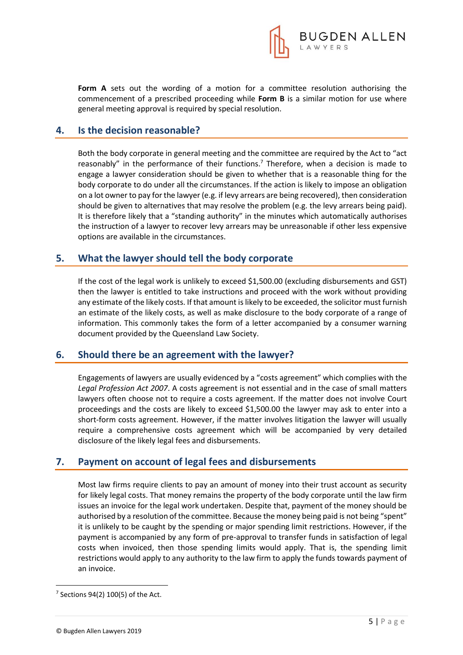

**Form A** sets out the wording of a motion for a committee resolution authorising the commencement of a prescribed proceeding while **Form B** is a similar motion for use where general meeting approval is required by special resolution.

## **4. Is the decision reasonable?**

Both the body corporate in general meeting and the committee are required by the Act to "act reasonably" in the performance of their functions.<sup>7</sup> Therefore, when a decision is made to engage a lawyer consideration should be given to whether that is a reasonable thing for the body corporate to do under all the circumstances. If the action is likely to impose an obligation on a lot owner to pay for the lawyer (e.g. if levy arrears are being recovered), then consideration should be given to alternatives that may resolve the problem (e.g. the levy arrears being paid). It is therefore likely that a "standing authority" in the minutes which automatically authorises the instruction of a lawyer to recover levy arrears may be unreasonable if other less expensive options are available in the circumstances.

### **5. What the lawyer should tell the body corporate**

If the cost of the legal work is unlikely to exceed \$1,500.00 (excluding disbursements and GST) then the lawyer is entitled to take instructions and proceed with the work without providing any estimate of the likely costs. If that amount is likely to be exceeded, the solicitor must furnish an estimate of the likely costs, as well as make disclosure to the body corporate of a range of information. This commonly takes the form of a letter accompanied by a consumer warning document provided by the Queensland Law Society.

### **6. Should there be an agreement with the lawyer?**

Engagements of lawyers are usually evidenced by a "costs agreement" which complies with the *Legal Profession Act 2007*. A costs agreement is not essential and in the case of small matters lawyers often choose not to require a costs agreement. If the matter does not involve Court proceedings and the costs are likely to exceed \$1,500.00 the lawyer may ask to enter into a short-form costs agreement. However, if the matter involves litigation the lawyer will usually require a comprehensive costs agreement which will be accompanied by very detailed disclosure of the likely legal fees and disbursements.

### **7. Payment on account of legal fees and disbursements**

Most law firms require clients to pay an amount of money into their trust account as security for likely legal costs. That money remains the property of the body corporate until the law firm issues an invoice for the legal work undertaken. Despite that, payment of the money should be authorised by a resolution of the committee. Because the money being paid is not being "spent" it is unlikely to be caught by the spending or major spending limit restrictions. However, if the payment is accompanied by any form of pre-approval to transfer funds in satisfaction of legal costs when invoiced, then those spending limits would apply. That is, the spending limit restrictions would apply to any authority to the law firm to apply the funds towards payment of an invoice.

**.** 

 $7$  Sections 94(2) 100(5) of the Act.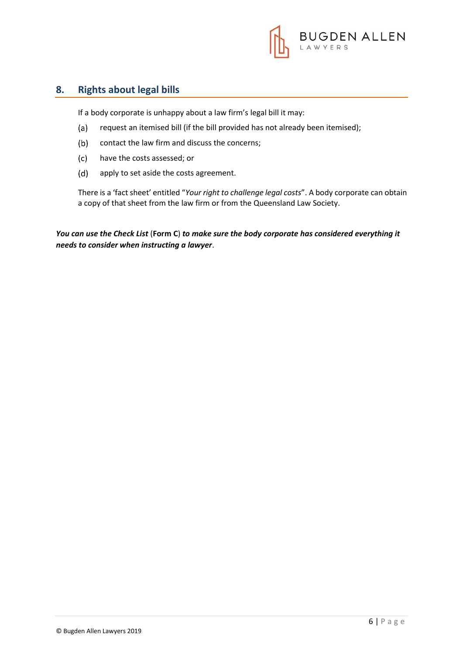

# **8. Rights about legal bills**

If a body corporate is unhappy about a law firm's legal bill it may:

- $(a)$ request an itemised bill (if the bill provided has not already been itemised);
- $(b)$ contact the law firm and discuss the concerns;
- $(c)$ have the costs assessed; or
- $(d)$ apply to set aside the costs agreement.

There is a 'fact sheet' entitled "*Your right to challenge legal costs*". A body corporate can obtain a copy of that sheet from the law firm or from the Queensland Law Society.

*You can use the Check List* (**Form C**) *to make sure the body corporate has considered everything it needs to consider when instructing a lawyer*.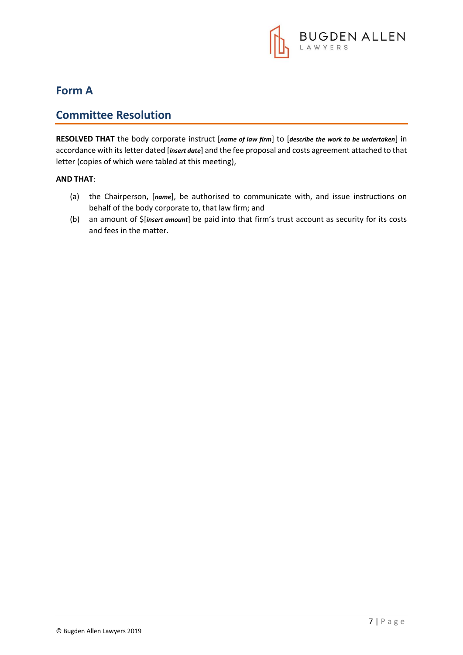

# **Form A**

# **Committee Resolution**

**RESOLVED THAT** the body corporate instruct [*name of law firm*] to [*describe the work to be undertaken*] in accordance with its letter dated [*insert date*] and the fee proposal and costs agreement attached to that letter (copies of which were tabled at this meeting),

#### **AND THAT**:

- (a) the Chairperson, [*name*], be authorised to communicate with, and issue instructions on behalf of the body corporate to, that law firm; and
- (b) an amount of \$[*insert amount*] be paid into that firm's trust account as security for its costs and fees in the matter.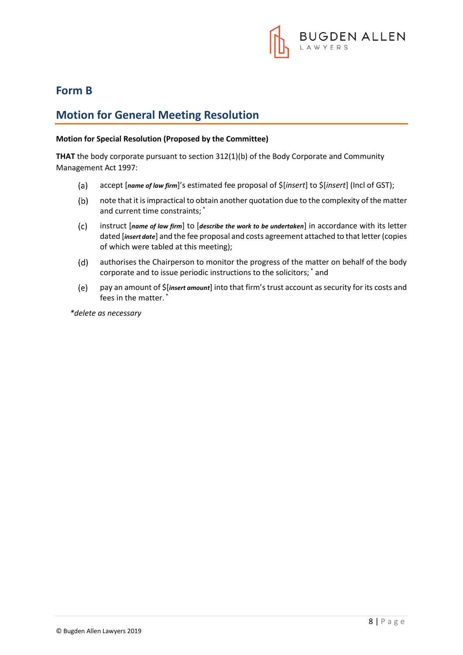

# **Form B**

# **Motion for General Meeting Resolution**

#### **Motion for Special Resolution (Proposed by the Committee)**

**THAT** the body corporate pursuant to section 312(1)(b) of the Body Corporate and Community Management Act 1997:

- $(a)$ accept [*name of law firm*]'s estimated fee proposal of \$[*insert*] to \$[*insert*] (Incl of GST);
- note that it is impractical to obtain another quotation due to the complexity of the matter  $(b)$ and current time constraints; \*
- $(c)$ instruct [*name of law firm*] to [*describe the work to be undertaken*] in accordance with its letter dated [*insert date*] and the fee proposal and costs agreement attached to that letter (copies of which were tabled at this meeting);
- $(d)$ authorises the Chairperson to monitor the progress of the matter on behalf of the body corporate and to issue periodic instructions to the solicitors; \* and
- $(e)$ pay an amount of \$[*insert amount*] into that firm's trust account as security for its costs and fees in the matter. \*

*\*delete as necessary*